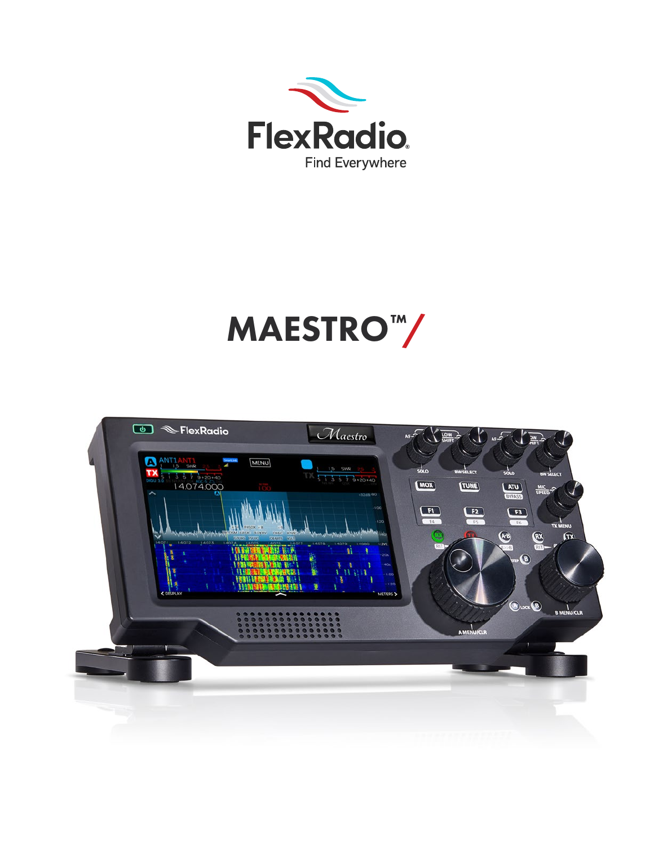

# MAESTRO™/

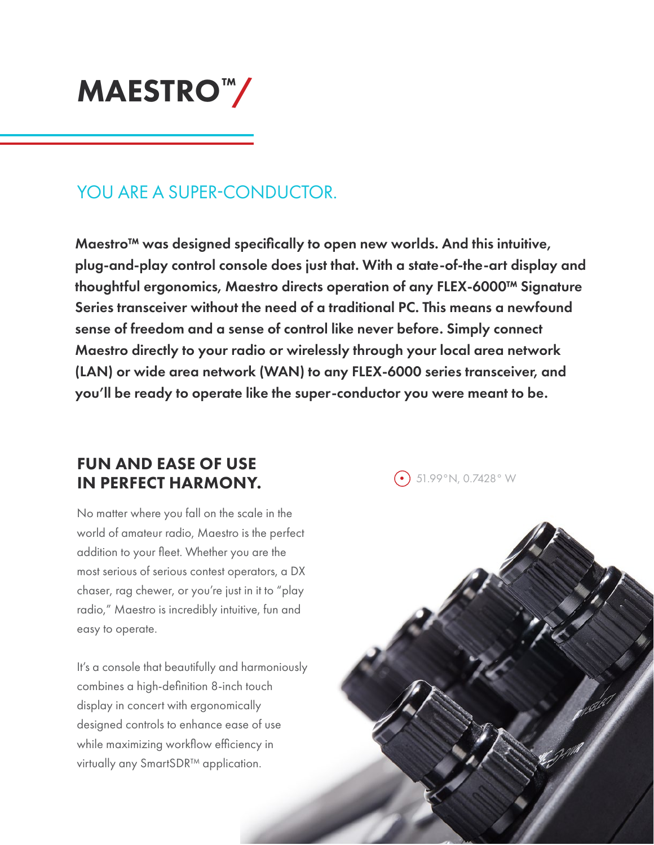

### YOU ARE A SUPER-CONDUCTOR.

Maestro™ was designed specifically to open new worlds. And this intuitive, plug-and-play control console does just that. With a state-of-the-art display and thoughtful ergonomics, Maestro directs operation of any FLEX-6000™ Signature Series transceiver without the need of a traditional PC. This means a newfound sense of freedom and a sense of control like never before. Simply connect Maestro directly to your radio or wirelessly through your local area network (LAN) or wide area network (WAN) to any FLEX-6000 series transceiver, and you'll be ready to operate like the super-conductor you were meant to be.

#### FUN AND EASE OF USE IN PERFECT HARMONY.

No matter where you fall on the scale in the world of amateur radio, Maestro is the perfect addition to your fleet. Whether you are the most serious of serious contest operators, a DX chaser, rag chewer, or you're just in it to "play radio," Maestro is incredibly intuitive, fun and easy to operate.

It's a console that beautifully and harmoniously combines a high-definition 8-inch touch display in concert with ergonomically designed controls to enhance ease of use while maximizing workflow efficiency in virtually any SmartSDR™ application.

 $\odot$  51.99°N, 0.7428°W

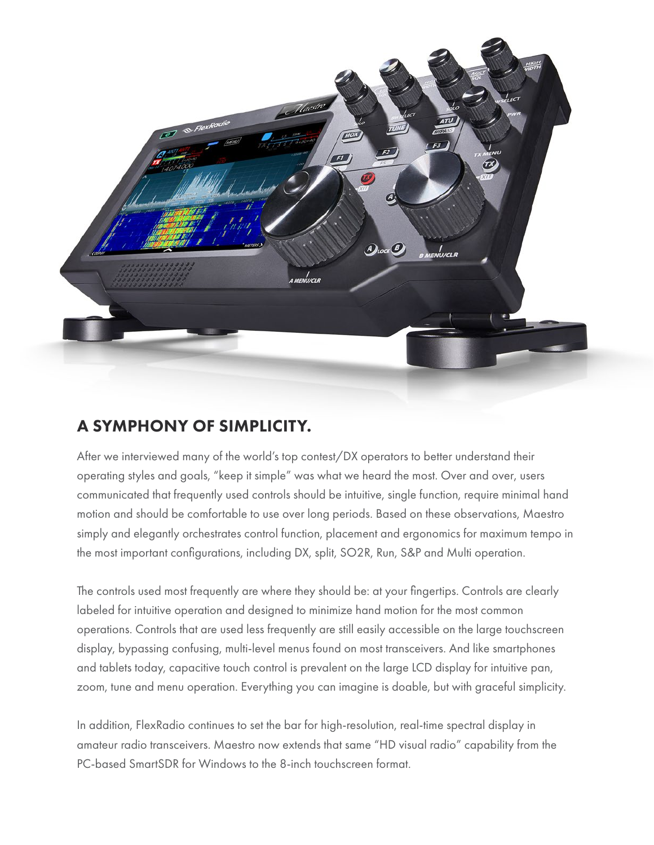

#### A SYMPHONY OF SIMPLICITY.

After we interviewed many of the world's top contest/DX operators to better understand their operating styles and goals, "keep it simple" was what we heard the most. Over and over, users communicated that frequently used controls should be intuitive, single function, require minimal hand motion and should be comfortable to use over long periods. Based on these observations, Maestro simply and elegantly orchestrates control function, placement and ergonomics for maximum tempo in the most important configurations, including DX, split, SO2R, Run, S&P and Multi operation.

The controls used most frequently are where they should be: at your fingertips. Controls are clearly labeled for intuitive operation and designed to minimize hand motion for the most common operations. Controls that are used less frequently are still easily accessible on the large touchscreen display, bypassing confusing, multi-level menus found on most transceivers. And like smartphones and tablets today, capacitive touch control is prevalent on the large LCD display for intuitive pan, zoom, tune and menu operation. Everything you can imagine is doable, but with graceful simplicity.

In addition, FlexRadio continues to set the bar for high-resolution, real-time spectral display in amateur radio transceivers. Maestro now extends that same "HD visual radio" capability from the PC-based SmartSDR for Windows to the 8-inch touchscreen format.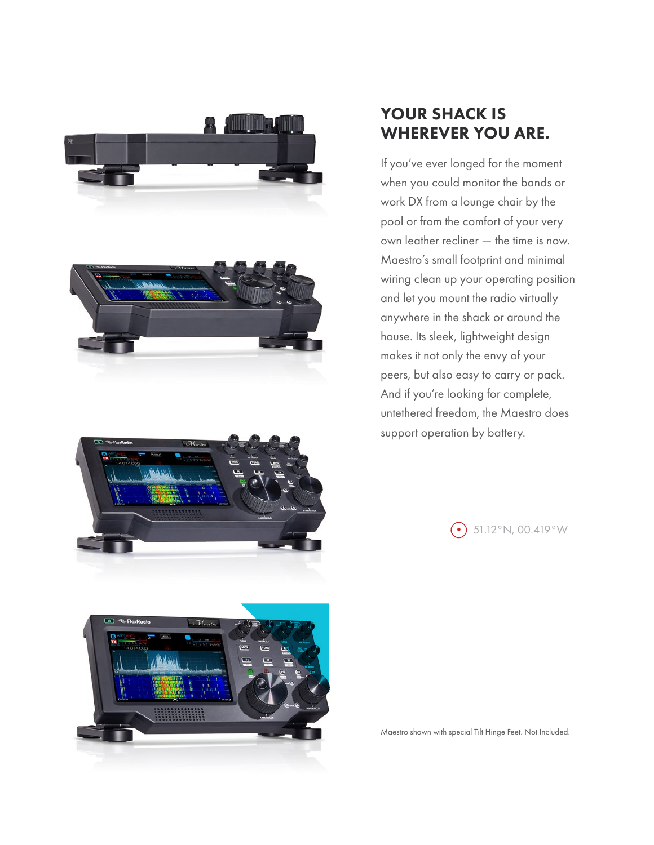



 $\mathcal{M}_{a}$ 

#### YOUR SHACK IS WHEREVER YOU ARE.

If you've ever longed for the moment when you could monitor the bands or work DX from a lounge chair by the pool or from the comfort of your very own leather recliner — the time is now. Maestro's small footprint and minimal wiring clean up your operating position and let you mount the radio virtually anywhere in the shack or around the house. Its sleek, lightweight design makes it not only the envy of your peers, but also easy to carry or pack. And if you're looking for complete, untethered freedom, the Maestro does support operation by battery.

 $\odot$  51.12°N, 00.419°W